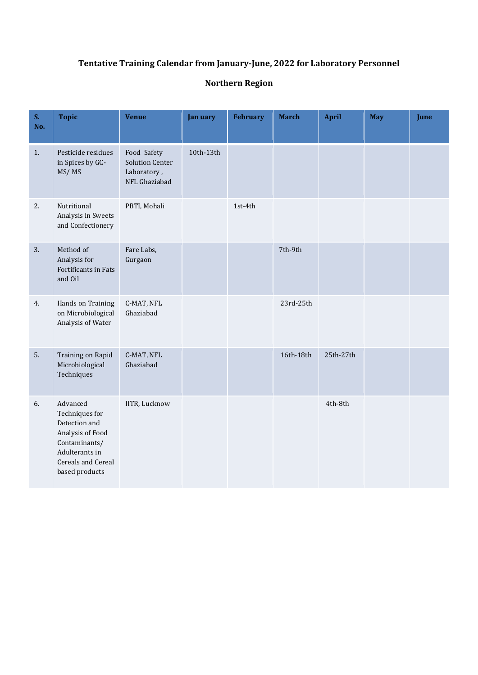# **Tentative Training Calendar from January-June, 2022 for Laboratory Personnel**

### **Northern Region**

| $S_{-}$<br>No. | <b>Topic</b>                                                                                                                               | <b>Venue</b>                                                          | <b>Jan uary</b> | <b>February</b> | <b>March</b> | <b>April</b> | <b>May</b> | June |
|----------------|--------------------------------------------------------------------------------------------------------------------------------------------|-----------------------------------------------------------------------|-----------------|-----------------|--------------|--------------|------------|------|
| 1.             | Pesticide residues<br>in Spices by GC-<br>MS/MS                                                                                            | Food Safety<br><b>Solution Center</b><br>Laboratory,<br>NFL Ghaziabad | $10th-13th$     |                 |              |              |            |      |
| 2.             | Nutritional<br>Analysis in Sweets<br>and Confectionery                                                                                     | PBTI, Mohali                                                          |                 | 1st-4th         |              |              |            |      |
| 3.             | Method of<br>Analysis for<br>Fortificants in Fats<br>and Oil                                                                               | Fare Labs,<br>Gurgaon                                                 |                 |                 | 7th-9th      |              |            |      |
| 4.             | Hands on Training<br>on Microbiological<br>Analysis of Water                                                                               | C-MAT, NFL<br>Ghaziabad                                               |                 |                 | 23rd-25th    |              |            |      |
| 5.             | Training on Rapid<br>Microbiological<br>Techniques                                                                                         | C-MAT, NFL<br>Ghaziabad                                               |                 |                 | 16th-18th    | 25th-27th    |            |      |
| 6.             | Advanced<br>Techniques for<br>Detection and<br>Analysis of Food<br>Contaminants/<br>Adulterants in<br>Cereals and Cereal<br>based products | IITR, Lucknow                                                         |                 |                 |              | 4th-8th      |            |      |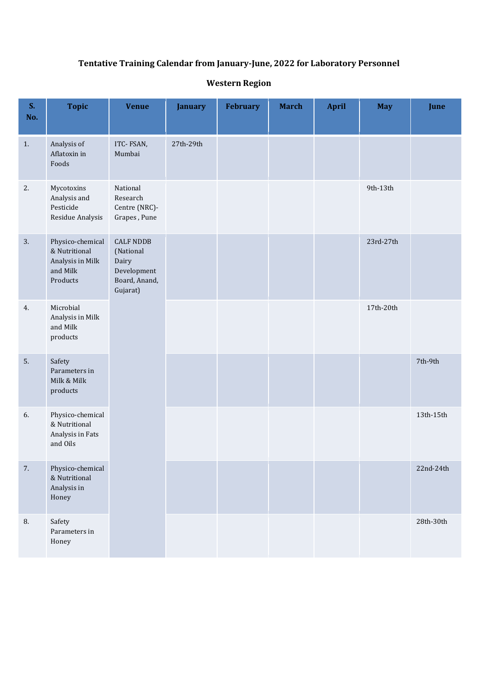# **Tentative Training Calendar from January-June, 2022 for Laboratory Personnel**

| $S_{\cdot}$<br>No. | <b>Topic</b>                                                                  | <b>Venue</b>                                                                       | <b>January</b> | <b>February</b> | <b>March</b> | <b>April</b> | <b>May</b> | June      |
|--------------------|-------------------------------------------------------------------------------|------------------------------------------------------------------------------------|----------------|-----------------|--------------|--------------|------------|-----------|
| 1.                 | Analysis of<br>Aflatoxin in<br>Foods                                          | ITC-FSAN,<br>Mumbai                                                                | 27th-29th      |                 |              |              |            |           |
| 2.                 | Mycotoxins<br>Analysis and<br>Pesticide<br>Residue Analysis                   | National<br>Research<br>Centre (NRC)-<br>Grapes, Pune                              |                |                 |              |              | 9th-13th   |           |
| 3.                 | Physico-chemical<br>& Nutritional<br>Analysis in Milk<br>and Milk<br>Products | <b>CALF NDDB</b><br>(National<br>Dairy<br>Development<br>Board, Anand,<br>Gujarat) |                |                 |              |              | 23rd-27th  |           |
| 4.                 | Microbial<br>Analysis in Milk<br>and Milk<br>products                         |                                                                                    |                |                 |              |              | 17th-20th  |           |
| 5.                 | Safety<br>Parameters in<br>Milk & Milk<br>products                            |                                                                                    |                |                 |              |              |            | 7th-9th   |
| 6.                 | Physico-chemical<br>& Nutritional<br>Analysis in Fats<br>and Oils             |                                                                                    |                |                 |              |              |            | 13th-15th |
| 7.                 | Physico-chemical<br>& Nutritional<br>Analysis in<br>Honey                     |                                                                                    |                |                 |              |              |            | 22nd-24th |
| 8.                 | Safety<br>Parameters in<br>Honey                                              |                                                                                    |                |                 |              |              |            | 28th-30th |

### **Western Region**